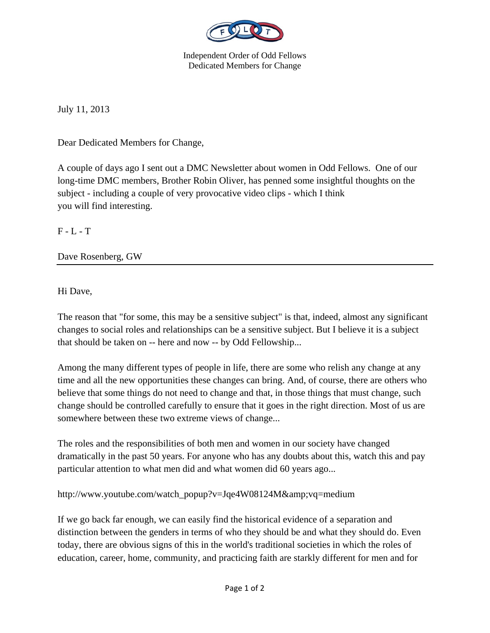

Independent Order of Odd Fellows Dedicated Members for Change

July 11, 2013

Dear Dedicated Members for Change,

A couple of days ago I sent out a DMC Newsletter about women in Odd Fellows. One of our long-time DMC members, Brother Robin Oliver, has penned some insightful thoughts on the subject - including a couple of very provocative video clips - which I think you will find interesting.

 $F - L - T$ 

Dave Rosenberg, GW

Hi Dave,

The reason that "for some, this may be a sensitive subject" is that, indeed, almost any significant changes to social roles and relationships can be a sensitive subject. But I believe it is a subject that should be taken on -- here and now -- by Odd Fellowship...

Among the many different types of people in life, there are some who relish any change at any time and all the new opportunities these changes can bring. And, of course, there are others who believe that some things do not need to change and that, in those things that must change, such change should be controlled carefully to ensure that it goes in the right direction. Most of us are somewhere between these two extreme views of change...

The roles and the responsibilities of both men and women in our society have changed dramatically in the past 50 years. For anyone who has any doubts about this, watch this and pay particular attention to what men did and what women did 60 years ago...

http://www.youtube.com/watch\_popup?v=Jqe4W08124M&vq=medium

If we go back far enough, we can easily find the historical evidence of a separation and distinction between the genders in terms of who they should be and what they should do. Even today, there are obvious signs of this in the world's traditional societies in which the roles of education, career, home, community, and practicing faith are starkly different for men and for